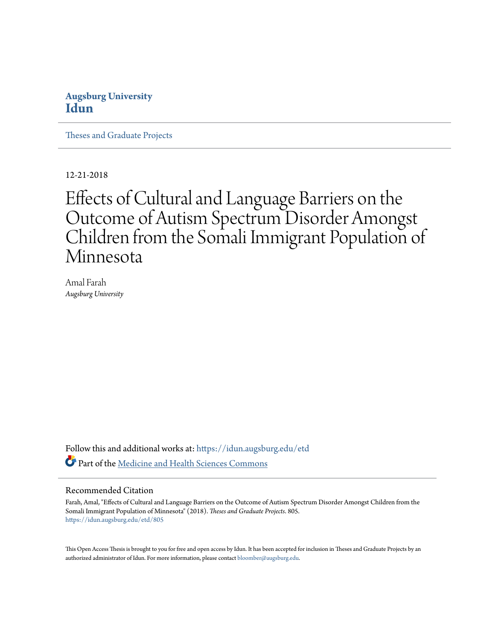## **Augsburg University [Idun](https://idun.augsburg.edu?utm_source=idun.augsburg.edu%2Fetd%2F805&utm_medium=PDF&utm_campaign=PDFCoverPages)**

[Theses and Graduate Projects](https://idun.augsburg.edu/etd?utm_source=idun.augsburg.edu%2Fetd%2F805&utm_medium=PDF&utm_campaign=PDFCoverPages)

12-21-2018

# Effects of Cultural and Language Barriers on the Outcome of Autism Spectrum Disorder Amongst Children from the Somali Immigrant Population of Minnesota

Amal Farah *Augsburg University*

Follow this and additional works at: [https://idun.augsburg.edu/etd](https://idun.augsburg.edu/etd?utm_source=idun.augsburg.edu%2Fetd%2F805&utm_medium=PDF&utm_campaign=PDFCoverPages) Part of the [Medicine and Health Sciences Commons](http://network.bepress.com/hgg/discipline/648?utm_source=idun.augsburg.edu%2Fetd%2F805&utm_medium=PDF&utm_campaign=PDFCoverPages)

#### Recommended Citation

Farah, Amal, "Effects of Cultural and Language Barriers on the Outcome of Autism Spectrum Disorder Amongst Children from the Somali Immigrant Population of Minnesota" (2018). *Theses and Graduate Projects*. 805. [https://idun.augsburg.edu/etd/805](https://idun.augsburg.edu/etd/805?utm_source=idun.augsburg.edu%2Fetd%2F805&utm_medium=PDF&utm_campaign=PDFCoverPages)

This Open Access Thesis is brought to you for free and open access by Idun. It has been accepted for inclusion in Theses and Graduate Projects by an authorized administrator of Idun. For more information, please contact [bloomber@augsburg.edu.](mailto:bloomber@augsburg.edu)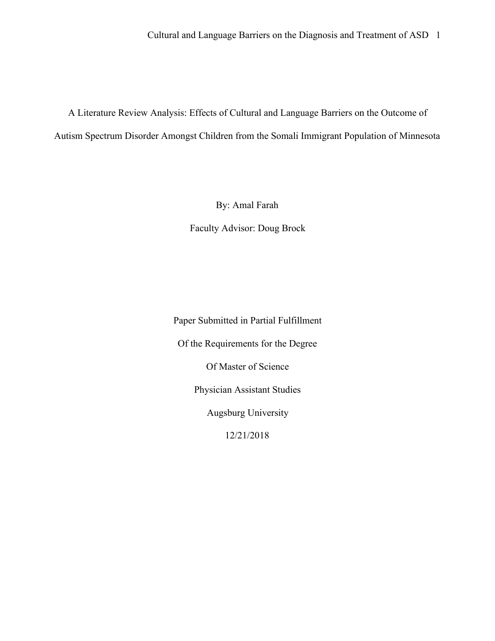A Literature Review Analysis: Effects of Cultural and Language Barriers on the Outcome of Autism Spectrum Disorder Amongst Children from the Somali Immigrant Population of Minnesota

By: Amal Farah

Faculty Advisor: Doug Brock

Paper Submitted in Partial Fulfillment Of the Requirements for the Degree Of Master of Science Physician Assistant Studies Augsburg University 12/21/2018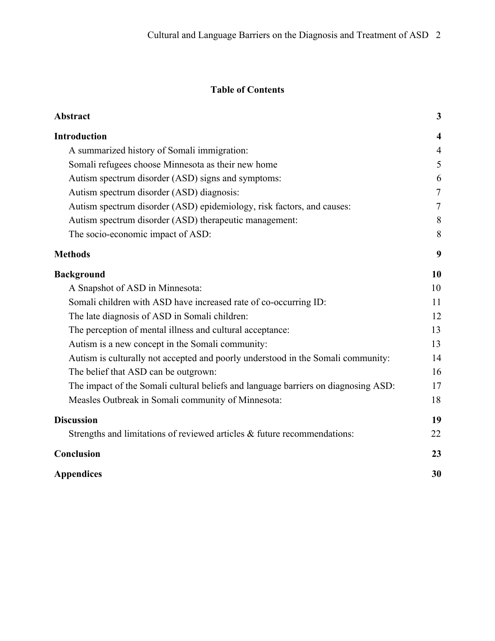## **Table of Contents**

| Abstract                                                                           | 3                       |
|------------------------------------------------------------------------------------|-------------------------|
| <b>Introduction</b>                                                                | $\overline{\mathbf{4}}$ |
| A summarized history of Somali immigration:                                        | $\overline{4}$          |
| Somali refugees choose Minnesota as their new home                                 | 5                       |
| Autism spectrum disorder (ASD) signs and symptoms:                                 | 6                       |
| Autism spectrum disorder (ASD) diagnosis:                                          | $\tau$                  |
| Autism spectrum disorder (ASD) epidemiology, risk factors, and causes:             | $\tau$                  |
| Autism spectrum disorder (ASD) therapeutic management:                             | 8                       |
| The socio-economic impact of ASD:                                                  | 8                       |
| <b>Methods</b>                                                                     | 9                       |
| <b>Background</b>                                                                  | 10                      |
| A Snapshot of ASD in Minnesota:                                                    | 10                      |
| Somali children with ASD have increased rate of co-occurring ID:                   | 11                      |
| The late diagnosis of ASD in Somali children:                                      | 12                      |
| The perception of mental illness and cultural acceptance:                          | 13                      |
| Autism is a new concept in the Somali community:                                   | 13                      |
| Autism is culturally not accepted and poorly understood in the Somali community:   | 14                      |
| The belief that ASD can be outgrown:                                               | 16                      |
| The impact of the Somali cultural beliefs and language barriers on diagnosing ASD: | 17                      |
| Measles Outbreak in Somali community of Minnesota:                                 | 18                      |
| <b>Discussion</b>                                                                  | 19                      |
| Strengths and limitations of reviewed articles $\&$ future recommendations:        | 22                      |
| Conclusion                                                                         | 23                      |
| <b>Appendices</b>                                                                  | 30                      |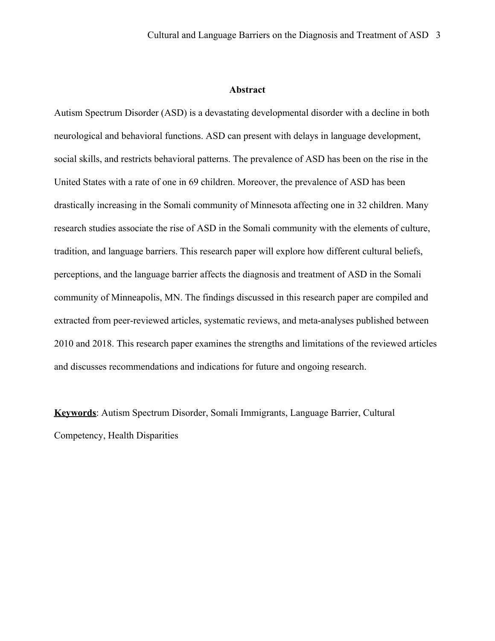#### **Abstract**

Autism Spectrum Disorder (ASD) is a devastating developmental disorder with a decline in both neurological and behavioral functions. ASD can present with delays in language development, social skills, and restricts behavioral patterns. The prevalence of ASD has been on the rise in the United States with a rate of one in 69 children. Moreover, the prevalence of ASD has been drastically increasing in the Somali community of Minnesota affecting one in 32 children. Many research studies associate the rise of ASD in the Somali community with the elements of culture, tradition, and language barriers. This research paper will explore how different cultural beliefs, perceptions, and the language barrier affects the diagnosis and treatment of ASD in the Somali community of Minneapolis, MN. The findings discussed in this research paper are compiled and extracted from peer-reviewed articles, systematic reviews, and meta-analyses published between 2010 and 2018. This research paper examines the strengths and limitations of the reviewed articles and discusses recommendations and indications for future and ongoing research.

**Keywords**: Autism Spectrum Disorder, Somali Immigrants, Language Barrier, Cultural Competency, Health Disparities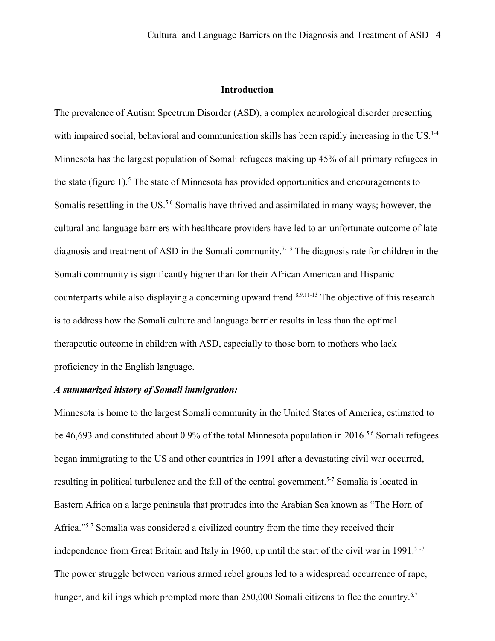#### **Introduction**

The prevalence of Autism Spectrum Disorder (ASD), a complex neurological disorder presenting with impaired social, behavioral and communication skills has been rapidly increasing in the US.<sup>1-4</sup> Minnesota has the largest population of Somali refugees making up 45% of all primary refugees in the state (figure 1).<sup>5</sup> The state of Minnesota has provided opportunities and encouragements to Somalis resettling in the US.<sup>5,6</sup> Somalis have thrived and assimilated in many ways; however, the cultural and language barriers with healthcare providers have led to an unfortunate outcome of late diagnosis and treatment of ASD in the Somali community. 7-13 The diagnosis rate for children in the Somali community is significantly higher than for their African American and Hispanic counterparts while also displaying a concerning upward trend.<sup>8,9,11-13</sup> The objective of this research is to address how the Somali culture and language barrier results in less than the optimal therapeutic outcome in children with ASD, especially to those born to mothers who lack proficiency in the English language.

#### *A summarized history of Somali immigration:*

Minnesota is home to the largest Somali community in the United States of America, estimated to be 46,693 and constituted about 0.9% of the total Minnesota population in 2016.<sup>5,6</sup> Somali refugees began immigrating to the US and other countries in 1991 after a devastating civil war occurred, resulting in political turbulence and the fall of the central government.<sup>5-7</sup> Somalia is located in Eastern Africa on a large peninsula that protrudes into the Arabian Sea known as "The Horn of Africa."<sup>5-7</sup> Somalia was considered a civilized country from the time they received their independence from Great Britain and Italy in 1960, up until the start of the civil war in 1991.<sup>5-7</sup> The power struggle between various armed rebel groups led to a widespread occurrence of rape, hunger, and killings which prompted more than 250,000 Somali citizens to flee the country.<sup>6,7</sup>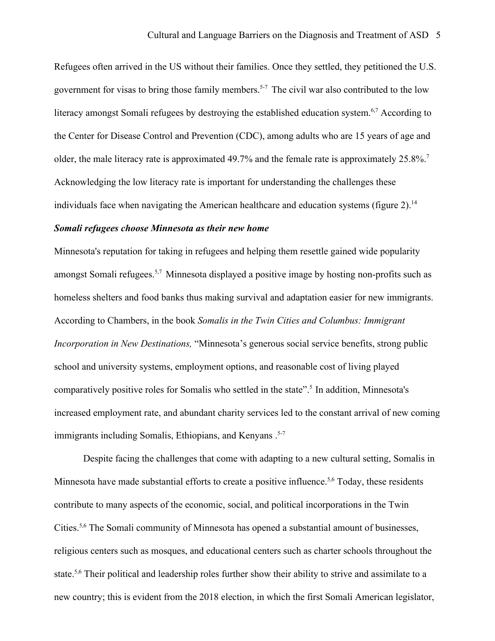Refugees often arrived in the US without their families. Once they settled, they petitioned the U.S. government for visas to bring those family members.<sup>5-7</sup> The civil war also contributed to the low literacy amongst Somali refugees by destroying the established education system.<sup>6,7</sup> According to the Center for Disease Control and Prevention (CDC), among adults who are 15 years of age and older, the male literacy rate is approximated 49.7% and the female rate is approximately 25.8%.<sup>7</sup> Acknowledging the low literacy rate is important for understanding the challenges these individuals face when navigating the American healthcare and education systems (figure  $2$ ).<sup>14</sup>

#### *Somali refugees choose Minnesota as their new home*

Minnesota's reputation for taking in refugees and helping them resettle gained wide popularity amongst Somali refugees.<sup>5,7</sup> Minnesota displayed a positive image by hosting non-profits such as homeless shelters and food banks thus making survival and adaptation easier for new immigrants. According to Chambers, in the book *Somalis in the Twin Cities and Columbus: Immigrant Incorporation in New Destinations,* "Minnesota's generous social service benefits, strong public school and university systems, employment options, and reasonable cost of living played comparatively positive roles for Somalis who settled in the state".<sup>5</sup> In addition, Minnesota's increased employment rate, and abundant charity services led to the constant arrival of new coming immigrants including Somalis, Ethiopians, and Kenyans.<sup>5-7</sup>

Despite facing the challenges that come with adapting to a new cultural setting, Somalis in Minnesota have made substantial efforts to create a positive influence.<sup>5,6</sup> Today, these residents contribute to many aspects of the economic, social, and political incorporations in the Twin Cities.<sup>5,6</sup> The Somali community of Minnesota has opened a substantial amount of businesses, religious centers such as mosques, and educational centers such as charter schools throughout the state.<sup>5,6</sup> Their political and leadership roles further show their ability to strive and assimilate to a new country; this is evident from the 2018 election, in which the first Somali American legislator,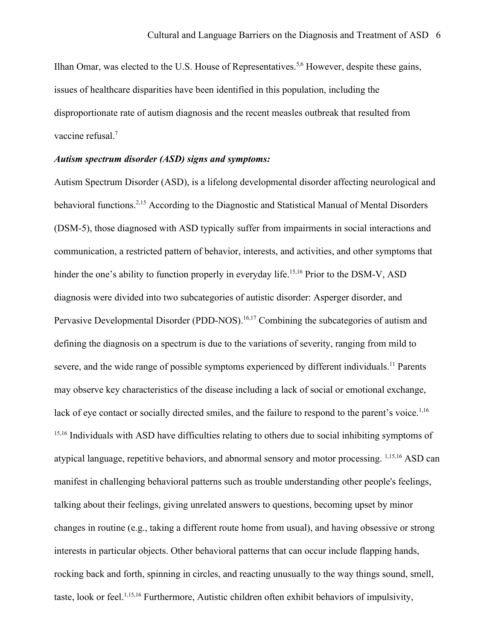Ilhan Omar, was elected to the U.S. House of Representatives.<sup>5,6</sup> However, despite these gains, issues of healthcare disparities have been identified in this population, including the disproportionate rate of autism diagnosis and the recent measles outbreak that resulted from vaccine refusal.<sup>7</sup>

#### *Autism spectrum disorder (ASD) signs and symptoms:*

Autism Spectrum Disorder (ASD), is a lifelong developmental disorder affecting neurological and behavioral functions.<sup>2,15</sup> According to the Diagnostic and Statistical Manual of Mental Disorders (DSM-5), those diagnosed with ASD typically suffer from impairments in social interactions and communication, a restricted pattern of behavior, interests, and activities, and other symptoms that hinder the one's ability to function properly in everyday life.<sup>15,16</sup> Prior to the DSM-V, ASD diagnosis were divided into two subcategories of autistic disorder: Asperger disorder, and Pervasive Developmental Disorder (PDD-NOS).<sup>16,17</sup> Combining the subcategories of autism and defining the diagnosis on a spectrum is due to the variations of severity, ranging from mild to severe, and the wide range of possible symptoms experienced by different individuals.<sup>11</sup> Parents may observe key characteristics of the disease including a lack of social or emotional exchange, lack of eye contact or socially directed smiles, and the failure to respond to the parent's voice.<sup>1,16</sup> <sup>15,16</sup> Individuals with ASD have difficulties relating to others due to social inhibiting symptoms of atypical language, repetitive behaviors, and abnormal sensory and motor processing. 1,15,16 ASD can manifest in challenging behavioral patterns such as trouble understanding other people's feelings, talking about their feelings, giving unrelated answers to questions, becoming upset by minor changes in routine (e.g., taking a different route home from usual), and having obsessive or strong interests in particular objects. Other behavioral patterns that can occur include flapping hands, rocking back and forth, spinning in circles, and reacting unusually to the way things sound, smell, taste, look or feel.<sup>1,15,16</sup> Furthermore, Autistic children often exhibit behaviors of impulsivity,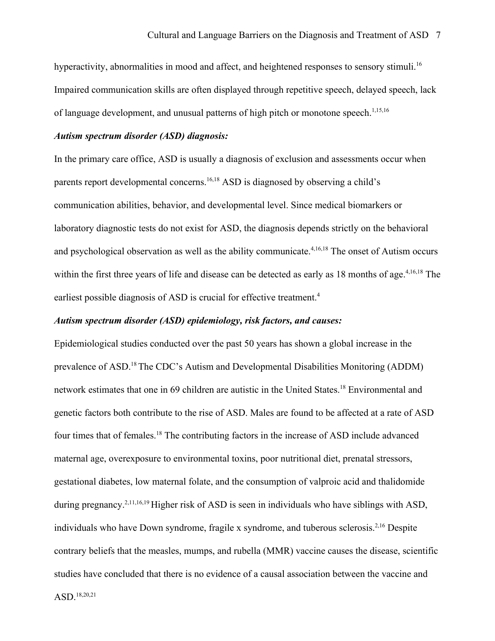hyperactivity, abnormalities in mood and affect, and heightened responses to sensory stimuli.<sup>16</sup> Impaired communication skills are often displayed through repetitive speech, delayed speech, lack of language development, and unusual patterns of high pitch or monotone speech.<sup>1,15,16</sup>

#### *Autism spectrum disorder (ASD) diagnosis:*

In the primary care office, ASD is usually a diagnosis of exclusion and assessments occur when parents report developmental concerns.<sup>16,18</sup> ASD is diagnosed by observing a child's communication abilities, behavior, and developmental level. Since medical biomarkers or laboratory diagnostic tests do not exist for ASD, the diagnosis depends strictly on the behavioral and psychological observation as well as the ability communicate.<sup>4,16,18</sup> The onset of Autism occurs within the first three years of life and disease can be detected as early as 18 months of age.<sup>4,16,18</sup> The earliest possible diagnosis of ASD is crucial for effective treatment.<sup>4</sup>

#### *Autism spectrum disorder (ASD) epidemiology, risk factors, and causes:*

Epidemiological studies conducted over the past 50 years has shown a global increase in the prevalence of ASD.<sup>18</sup>The CDC's Autism and Developmental Disabilities Monitoring (ADDM) network estimates that one in 69 children are autistic in the United States.<sup>18</sup> Environmental and genetic factors both contribute to the rise of ASD. Males are found to be affected at a rate of ASD four times that of females.<sup>18</sup> The contributing factors in the increase of ASD include advanced maternal age, overexposure to environmental toxins, poor nutritional diet, prenatal stressors, gestational diabetes, low maternal folate, and the consumption of valproic acid and thalidomide during pregnancy.2,11,16,19 Higher risk of ASD is seen in individuals who have siblings with ASD, individuals who have Down syndrome, fragile x syndrome, and tuberous sclerosis.<sup>2,16</sup> Despite contrary beliefs that the measles, mumps, and rubella (MMR) vaccine causes the disease, scientific studies have concluded that there is no evidence of a causal association between the vaccine and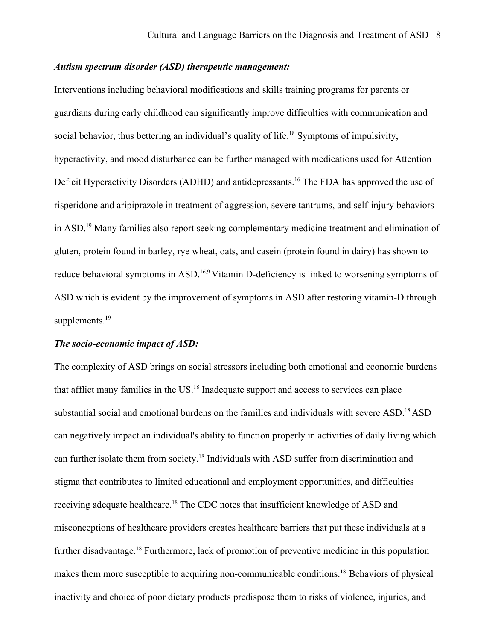#### *Autism spectrum disorder (ASD) therapeutic management:*

Interventions including behavioral modifications and skills training programs for parents or guardians during early childhood can significantly improve difficulties with communication and social behavior, thus bettering an individual's quality of life.<sup>18</sup> Symptoms of impulsivity, hyperactivity, and mood disturbance can be further managed with medications used for Attention Deficit Hyperactivity Disorders (ADHD) and antidepressants.<sup>16</sup> The FDA has approved the use of risperidone and aripiprazole in treatment of aggression, severe tantrums, and self-injury behaviors in ASD.<sup>19</sup> Many families also report seeking complementary medicine treatment and elimination of gluten, protein found in barley, rye wheat, oats, and casein (protein found in dairy) has shown to reduce behavioral symptoms in ASD.16,9 Vitamin D-deficiency is linked to worsening symptoms of ASD which is evident by the improvement of symptoms in ASD after restoring vitamin-D through supplements.<sup>19</sup>

#### *The socio-economic impact of ASD:*

The complexity of ASD brings on social stressors including both emotional and economic burdens that afflict many families in the US.<sup>18</sup> Inadequate support and access to services can place substantial social and emotional burdens on the families and individuals with severe ASD.<sup>18</sup> ASD can negatively impact an individual's ability to function properly in activities of daily living which can further isolate them from society.<sup>18</sup> Individuals with ASD suffer from discrimination and stigma that contributes to limited educational and employment opportunities, and difficulties receiving adequate healthcare.<sup>18</sup> The CDC notes that insufficient knowledge of ASD and misconceptions of healthcare providers creates healthcare barriers that put these individuals at a further disadvantage.<sup>18</sup> Furthermore, lack of promotion of preventive medicine in this population makes them more susceptible to acquiring non-communicable conditions.<sup>18</sup> Behaviors of physical inactivity and choice of poor dietary products predispose them to risks of violence, injuries, and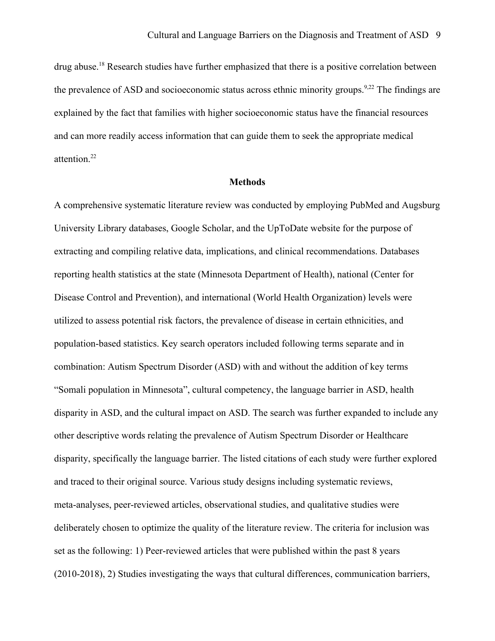drug abuse.<sup>18</sup> Research studies have further emphasized that there is a positive correlation between the prevalence of ASD and socioeconomic status across ethnic minority groups.<sup>9,22</sup> The findings are explained by the fact that families with higher socioeconomic status have the financial resources and can more readily access information that can guide them to seek the appropriate medical attention.<sup>22</sup>

#### **Methods**

A comprehensive systematic literature review was conducted by employing PubMed and Augsburg University Library databases, Google Scholar, and the UpToDate website for the purpose of extracting and compiling relative data, implications, and clinical recommendations. Databases reporting health statistics at the state (Minnesota Department of Health), national (Center for Disease Control and Prevention), and international (World Health Organization) levels were utilized to assess potential risk factors, the prevalence of disease in certain ethnicities, and population-based statistics. Key search operators included following terms separate and in combination: Autism Spectrum Disorder (ASD) with and without the addition of key terms "Somali population in Minnesota", cultural competency, the language barrier in ASD, health disparity in ASD, and the cultural impact on ASD. The search was further expanded to include any other descriptive words relating the prevalence of Autism Spectrum Disorder or Healthcare disparity, specifically the language barrier. The listed citations of each study were further explored and traced to their original source. Various study designs including systematic reviews, meta-analyses, peer-reviewed articles, observational studies, and qualitative studies were deliberately chosen to optimize the quality of the literature review. The criteria for inclusion was set as the following: 1) Peer-reviewed articles that were published within the past 8 years (2010-2018), 2) Studies investigating the ways that cultural differences, communication barriers,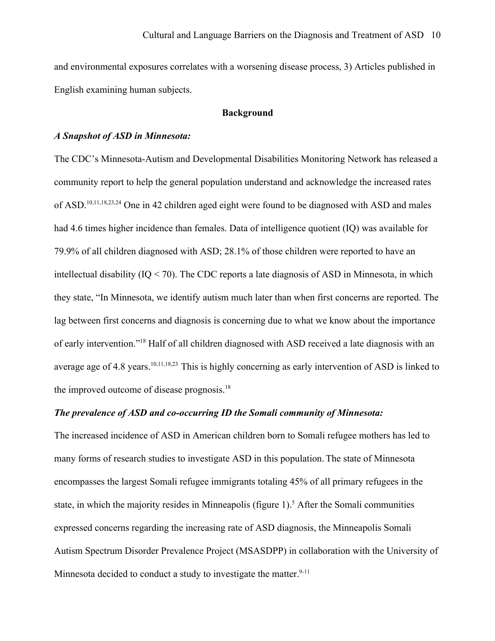and environmental exposures correlates with a worsening disease process, 3) Articles published in English examining human subjects.

#### **Background**

#### *A Snapshot of ASD in Minnesota:*

The CDC's Minnesota-Autism and Developmental Disabilities Monitoring Network has released a community report to help the general population understand and acknowledge the increased rates of ASD.<sup>10,11,18,23,24</sup> One in 42 children aged eight were found to be diagnosed with ASD and males had 4.6 times higher incidence than females. Data of intelligence quotient (IQ) was available for 79.9% of all children diagnosed with ASD; 28.1% of those children were reported to have an intellectual disability (IQ < 70). The CDC reports a late diagnosis of ASD in Minnesota, in which they state, "In Minnesota, we identify autism much later than when first concerns are reported. The lag between first concerns and diagnosis is concerning due to what we know about the importance of early intervention."<sup>18</sup> Half of all children diagnosed with ASD received a late diagnosis with an average age of 4.8 years.<sup>10,11,18,23</sup> This is highly concerning as early intervention of ASD is linked to the improved outcome of disease prognosis.<sup>18</sup>

#### *The prevalence of ASD and co-occurring ID the Somali community of Minnesota:*

The increased incidence of ASD in American children born to Somali refugee mothers has led to many forms of research studies to investigate ASD in this population. The state of Minnesota encompasses the largest Somali refugee immigrants totaling 45% of all primary refugees in the state, in which the majority resides in Minneapolis (figure  $1$ ).<sup>5</sup> After the Somali communities expressed concerns regarding the increasing rate of ASD diagnosis, the Minneapolis Somali Autism Spectrum Disorder Prevalence Project (MSASDPP) in collaboration with the University of Minnesota decided to conduct a study to investigate the matter.  $9-11$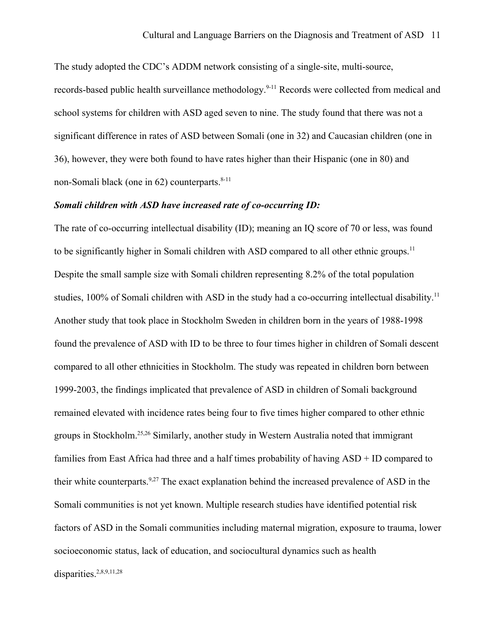The study adopted the CDC's ADDM network consisting of a single-site, multi-source,

records-based public health surveillance methodology.<sup>9-11</sup> Records were collected from medical and school systems for children with ASD aged seven to nine. The study found that there was not a significant difference in rates of ASD between Somali (one in 32) and Caucasian children (one in 36), however, they were both found to have rates higher than their Hispanic (one in 80) and non-Somali black (one in  $62$ ) counterparts.<sup>8-11</sup>

#### *Somali children with ASD have increased rate of co-occurring ID:*

The rate of co-occurring intellectual disability (ID); meaning an IQ score of 70 or less, was found to be significantly higher in Somali children with ASD compared to all other ethnic groups.<sup>11</sup> Despite the small sample size with Somali children representing 8.2% of the total population studies, 100% of Somali children with ASD in the study had a co-occurring intellectual disability.<sup>11</sup> Another study that took place in Stockholm Sweden in children born in the years of 1988-1998 found the prevalence of ASD with ID to be three to four times higher in children of Somali descent compared to all other ethnicities in Stockholm. The study was repeated in children born between 1999-2003, the findings implicated that prevalence of ASD in children of Somali background remained elevated with incidence rates being four to five times higher compared to other ethnic groups in Stockholm.25,26 Similarly, another study in Western Australia noted that immigrant families from East Africa had three and a half times probability of having ASD + ID compared to their white counterparts.<sup>9,27</sup> The exact explanation behind the increased prevalence of ASD in the Somali communities is not yet known. Multiple research studies have identified potential risk factors of ASD in the Somali communities including maternal migration, exposure to trauma, lower socioeconomic status, lack of education, and sociocultural dynamics such as health disparities.<sup>2,8,9,11,28</sup>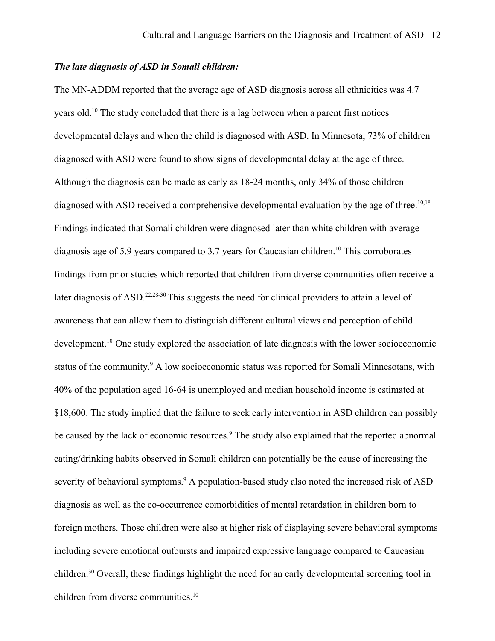#### *The late diagnosis of ASD in Somali children:*

The MN-ADDM reported that the average age of ASD diagnosis across all ethnicities was 4.7 years old.<sup>10</sup> The study concluded that there is a lag between when a parent first notices developmental delays and when the child is diagnosed with ASD. In Minnesota, 73% of children diagnosed with ASD were found to show signs of developmental delay at the age of three. Although the diagnosis can be made as early as 18-24 months, only 34% of those children diagnosed with ASD received a comprehensive developmental evaluation by the age of three.<sup>10,18</sup> Findings indicated that Somali children were diagnosed later than white children with average diagnosis age of 5.9 years compared to 3.7 years for Caucasian children.<sup>10</sup> This corroborates findings from prior studies which reported that children from diverse communities often receive a later diagnosis of ASD.<sup>22,28-30</sup> This suggests the need for clinical providers to attain a level of awareness that can allow them to distinguish different cultural views and perception of child development.<sup>10</sup> One study explored the association of late diagnosis with the lower socioeconomic status of the community.<sup>9</sup> A low socioeconomic status was reported for Somali Minnesotans, with 40% of the population aged 16-64 is unemployed and median household income is estimated at \$18,600. The study implied that the failure to seek early intervention in ASD children can possibly be caused by the lack of economic resources.<sup>9</sup> The study also explained that the reported abnormal eating/drinking habits observed in Somali children can potentially be the cause of increasing the severity of behavioral symptoms.<sup>9</sup> A population-based study also noted the increased risk of ASD diagnosis as well as the co-occurrence comorbidities of mental retardation in children born to foreign mothers. Those children were also at higher risk of displaying severe behavioral symptoms including severe emotional outbursts and impaired expressive language compared to Caucasian children.<sup>30</sup> Overall, these findings highlight the need for an early developmental screening tool in children from diverse communities.<sup>10</sup>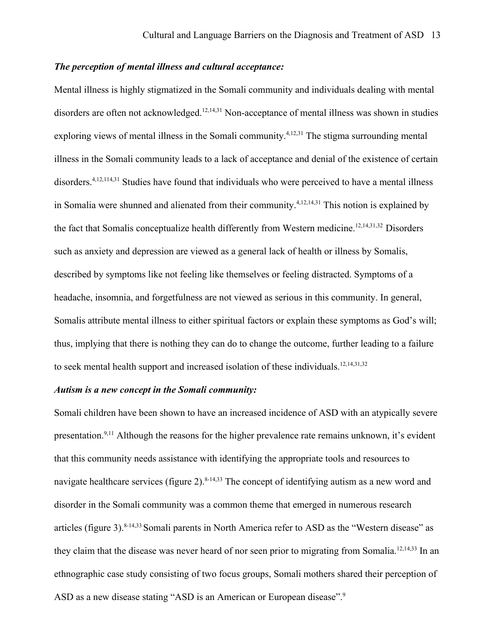#### *The perception of mental illness and cultural acceptance:*

Mental illness is highly stigmatized in the Somali community and individuals dealing with mental disorders are often not acknowledged.<sup>12,14,31</sup> Non-acceptance of mental illness was shown in studies exploring views of mental illness in the Somali community.<sup>4,12,31</sup> The stigma surrounding mental illness in the Somali community leads to a lack of acceptance and denial of the existence of certain disorders.<sup>4,12,114,31</sup> Studies have found that individuals who were perceived to have a mental illness in Somalia were shunned and alienated from their community.<sup>4,12,14,31</sup> This notion is explained by the fact that Somalis conceptualize health differently from Western medicine.<sup>12,14,31,32</sup> Disorders such as anxiety and depression are viewed as a general lack of health or illness by Somalis, described by symptoms like not feeling like themselves or feeling distracted. Symptoms of a headache, insomnia, and forgetfulness are not viewed as serious in this community. In general, Somalis attribute mental illness to either spiritual factors or explain these symptoms as God's will; thus, implying that there is nothing they can do to change the outcome, further leading to a failure to seek mental health support and increased isolation of these individuals.<sup>12,14,31,32</sup>

#### *Autism is a new concept in the Somali community:*

Somali children have been shown to have an increased incidence of ASD with an atypically severe presentation.<sup>9,11</sup> Although the reasons for the higher prevalence rate remains unknown, it's evident that this community needs assistance with identifying the appropriate tools and resources to navigate healthcare services (figure 2). $8-14,33$  The concept of identifying autism as a new word and disorder in the Somali community was a common theme that emerged in numerous research articles (figure 3).8-14,33 Somali parents in North America refer to ASD as the "Western disease" as they claim that the disease was never heard of nor seen prior to migrating from Somalia.<sup>12,14,33</sup> In an ethnographic case study consisting of two focus groups, Somali mothers shared their perception of ASD as a new disease stating "ASD is an American or European disease".<sup>9</sup>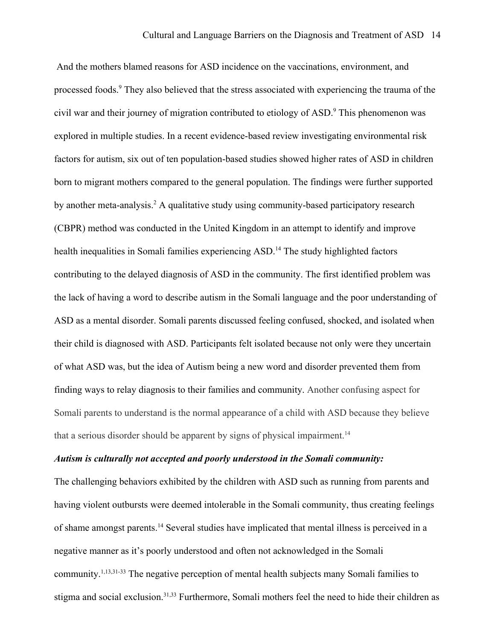And the mothers blamed reasons for ASD incidence on the vaccinations, environment, and processed foods.<sup>9</sup> They also believed that the stress associated with experiencing the trauma of the civil war and their journey of migration contributed to etiology of ASD.<sup>9</sup> This phenomenon was explored in multiple studies. In a recent evidence-based review investigating environmental risk factors for autism, six out of ten population-based studies showed higher rates of ASD in children born to migrant mothers compared to the general population. The findings were further supported by another meta-analysis.<sup>2</sup> A qualitative study using community-based participatory research (CBPR) method was conducted in the United Kingdom in an attempt to identify and improve health inequalities in Somali families experiencing ASD.<sup>14</sup> The study highlighted factors contributing to the delayed diagnosis of ASD in the community. The first identified problem was the lack of having a word to describe autism in the Somali language and the poor understanding of ASD as a mental disorder. Somali parents discussed feeling confused, shocked, and isolated when their child is diagnosed with ASD. Participants felt isolated because not only were they uncertain of what ASD was, but the idea of Autism being a new word and disorder prevented them from finding ways to relay diagnosis to their families and community. Another confusing aspect for Somali parents to understand is the normal appearance of a child with ASD because they believe that a serious disorder should be apparent by signs of physical impairment.<sup>14</sup>

#### *Autism is culturally not accepted and poorly understood in the Somali community:*

The challenging behaviors exhibited by the children with ASD such as running from parents and having violent outbursts were deemed intolerable in the Somali community, thus creating feelings of shame amongst parents.<sup>14</sup> Several studies have implicated that mental illness is perceived in a negative manner as it's poorly understood and often not acknowledged in the Somali community.<sup>1,13,31-33</sup> The negative perception of mental health subjects many Somali families to stigma and social exclusion.<sup>31,33</sup> Furthermore, Somali mothers feel the need to hide their children as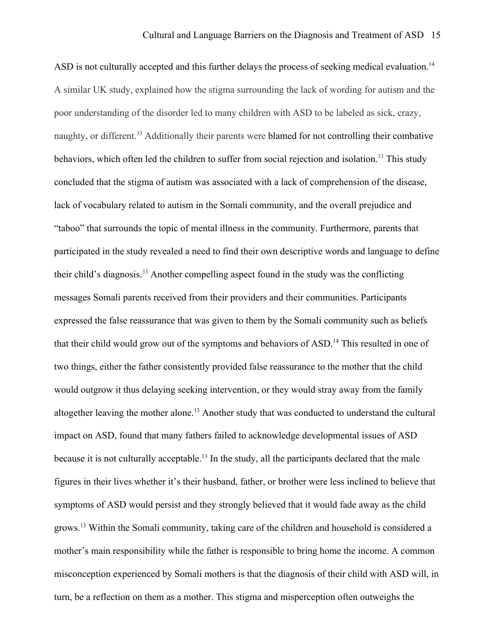ASD is not culturally accepted and this further delays the process of seeking medical evaluation.<sup>14</sup> A similar UK study, explained how the stigma surrounding the lack of wording for autism and the poor understanding of the disorder led to many children with ASD to be labeled as sick, crazy, naughty, or different.<sup>33</sup> Additionally their parents were blamed for not controlling their combative behaviors, which often led the children to suffer from social rejection and isolation.<sup>33</sup> This study concluded that the stigma of autism was associated with a lack of comprehension of the disease, lack of vocabulary related to autism in the Somali community, and the overall prejudice and "taboo" that surrounds the topic of mental illness in the community. Furthermore, parents that participated in the study revealed a need to find their own descriptive words and language to define their child's diagnosis.<sup>33</sup> Another compelling aspect found in the study was the conflicting messages Somali parents received from their providers and their communities. Participants expressed the false reassurance that was given to them by the Somali community such as beliefs that their child would grow out of the symptoms and behaviors of ASD.<sup>14</sup> This resulted in one of two things, either the father consistently provided false reassurance to the mother that the child would outgrow it thus delaying seeking intervention, or they would stray away from the family altogether leaving the mother alone.<sup>13</sup> Another study that was conducted to understand the cultural impact on ASD, found that many fathers failed to acknowledge developmental issues of ASD because it is not culturally acceptable.<sup>13</sup> In the study, all the participants declared that the male figures in their lives whether it's their husband, father, or brother were less inclined to believe that symptoms of ASD would persist and they strongly believed that it would fade away as the child grows.<sup>13</sup> Within the Somali community, taking care of the children and household is considered a mother's main responsibility while the father is responsible to bring home the income. A common misconception experienced by Somali mothers is that the diagnosis of their child with ASD will, in turn, be a reflection on them as a mother. This stigma and misperception often outweighs the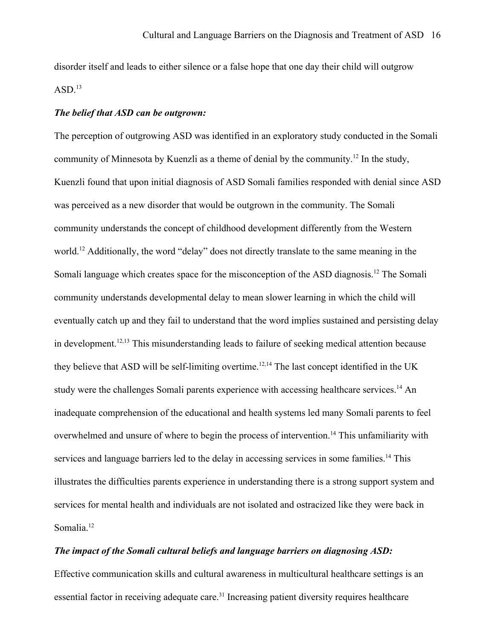disorder itself and leads to either silence or a false hope that one day their child will outgrow  $ASD.<sup>13</sup>$ 

#### *The belief that ASD can be outgrown:*

The perception of outgrowing ASD was identified in an exploratory study conducted in the Somali community of Minnesota by Kuenzli as a theme of denial by the community.<sup>12</sup> In the study, Kuenzli found that upon initial diagnosis of ASD Somali families responded with denial since ASD was perceived as a new disorder that would be outgrown in the community. The Somali community understands the concept of childhood development differently from the Western world.<sup>12</sup> Additionally, the word "delay" does not directly translate to the same meaning in the Somali language which creates space for the misconception of the ASD diagnosis.<sup>12</sup> The Somali community understands developmental delay to mean slower learning in which the child will eventually catch up and they fail to understand that the word implies sustained and persisting delay in development.<sup>12,13</sup> This misunderstanding leads to failure of seeking medical attention because they believe that ASD will be self-limiting overtime.<sup>12,14</sup> The last concept identified in the UK study were the challenges Somali parents experience with accessing healthcare services.<sup>14</sup> An inadequate comprehension of the educational and health systems led many Somali parents to feel overwhelmed and unsure of where to begin the process of intervention.<sup>14</sup> This unfamiliarity with services and language barriers led to the delay in accessing services in some families.<sup>14</sup> This illustrates the difficulties parents experience in understanding there is a strong support system and services for mental health and individuals are not isolated and ostracized like they were back in Somalia.<sup>12</sup>

#### *The impact of the Somali cultural beliefs and language barriers on diagnosing ASD:*

Effective communication skills and cultural awareness in multicultural healthcare settings is an essential factor in receiving adequate care.<sup>31</sup> Increasing patient diversity requires healthcare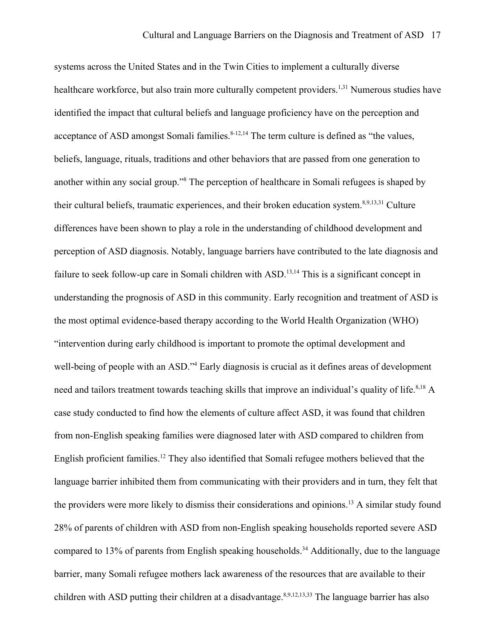systems across the United States and in the Twin Cities to implement a culturally diverse healthcare workforce, but also train more culturally competent providers.<sup>1,31</sup> Numerous studies have identified the impact that cultural beliefs and language proficiency have on the perception and acceptance of ASD amongst Somali families.  $8-12,14$  The term culture is defined as "the values, beliefs, language, rituals, traditions and other behaviors that are passed from one generation to another within any social group." <sup>8</sup> The perception of healthcare in Somali refugees is shaped by their cultural beliefs, traumatic experiences, and their broken education system.<sup>8,9,13,31</sup> Culture differences have been shown to play a role in the understanding of childhood development and perception of ASD diagnosis. Notably, language barriers have contributed to the late diagnosis and failure to seek follow-up care in Somali children with ASD.<sup>13,14</sup> This is a significant concept in understanding the prognosis of ASD in this community. Early recognition and treatment of ASD is the most optimal evidence-based therapy according to the World Health Organization (WHO) "intervention during early childhood is important to promote the optimal development and well-being of people with an ASD."<sup>4</sup> Early diagnosis is crucial as it defines areas of development need and tailors treatment towards teaching skills that improve an individual's quality of life.<sup>8,18</sup> A case study conducted to find how the elements of culture affect ASD, it was found that children from non-English speaking families were diagnosed later with ASD compared to children from English proficient families.<sup>12</sup> They also identified that Somali refugee mothers believed that the language barrier inhibited them from communicating with their providers and in turn, they felt that the providers were more likely to dismiss their considerations and opinions.<sup>13</sup> A similar study found 28% of parents of children with ASD from non-English speaking households reported severe ASD compared to 13% of parents from English speaking households.<sup>34</sup> Additionally, due to the language barrier, many Somali refugee mothers lack awareness of the resources that are available to their children with ASD putting their children at a disadvantage.<sup>8,9,12,13,33</sup> The language barrier has also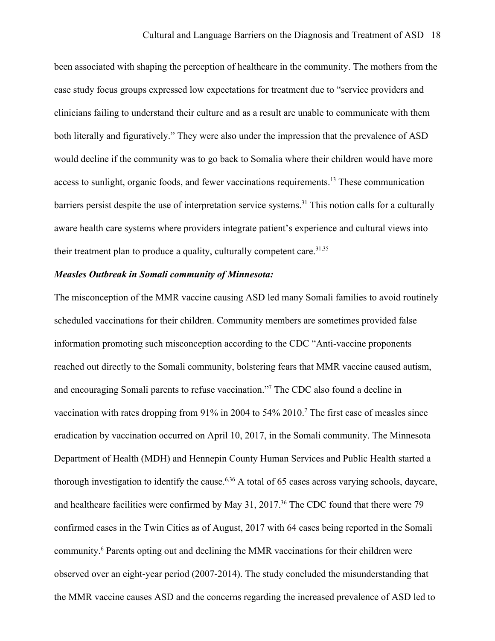been associated with shaping the perception of healthcare in the community. The mothers from the case study focus groups expressed low expectations for treatment due to "service providers and clinicians failing to understand their culture and as a result are unable to communicate with them both literally and figuratively." They were also under the impression that the prevalence of ASD would decline if the community was to go back to Somalia where their children would have more access to sunlight, organic foods, and fewer vaccinations requirements.<sup>13</sup> These communication barriers persist despite the use of interpretation service systems.<sup>31</sup> This notion calls for a culturally aware health care systems where providers integrate patient's experience and cultural views into their treatment plan to produce a quality, culturally competent care.  $31,35$ 

#### *Measles Outbreak in Somali community of Minnesota:*

The misconception of the MMR vaccine causing ASD led many Somali families to avoid routinely scheduled vaccinations for their children. Community members are sometimes provided false information promoting such misconception according to the CDC "Anti-vaccine proponents reached out directly to the Somali community, bolstering fears that MMR vaccine caused autism, and encouraging Somali parents to refuse vaccination." <sup>7</sup> The CDC also found a decline in vaccination with rates dropping from 91% in 2004 to 54% 2010.<sup>7</sup> The first case of measles since eradication by vaccination occurred on April 10, 2017, in the Somali community. The Minnesota Department of Health (MDH) and Hennepin County Human Services and Public Health started a thorough investigation to identify the cause.<sup>6,36</sup> A total of 65 cases across varying schools, daycare, and healthcare facilities were confirmed by May 31, 2017.<sup>36</sup> The CDC found that there were 79 confirmed cases in the Twin Cities as of August, 2017 with 64 cases being reported in the Somali community. 6 Parents opting out and declining the MMR vaccinations for their children were observed over an eight-year period (2007-2014). The study concluded the misunderstanding that the MMR vaccine causes ASD and the concerns regarding the increased prevalence of ASD led to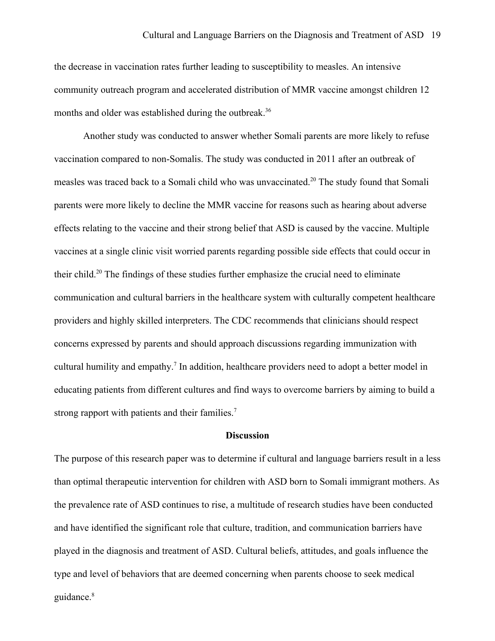the decrease in vaccination rates further leading to susceptibility to measles. An intensive community outreach program and accelerated distribution of MMR vaccine amongst children 12 months and older was established during the outbreak.<sup>36</sup>

Another study was conducted to answer whether Somali parents are more likely to refuse vaccination compared to non-Somalis. The study was conducted in 2011 after an outbreak of measles was traced back to a Somali child who was unvaccinated.<sup>20</sup> The study found that Somali parents were more likely to decline the MMR vaccine for reasons such as hearing about adverse effects relating to the vaccine and their strong belief that ASD is caused by the vaccine. Multiple vaccines at a single clinic visit worried parents regarding possible side effects that could occur in their child.<sup>20</sup> The findings of these studies further emphasize the crucial need to eliminate communication and cultural barriers in the healthcare system with culturally competent healthcare providers and highly skilled interpreters. The CDC recommends that clinicians should respect concerns expressed by parents and should approach discussions regarding immunization with cultural humility and empathy.<sup>7</sup> In addition, healthcare providers need to adopt a better model in educating patients from different cultures and find ways to overcome barriers by aiming to build a strong rapport with patients and their families.<sup>7</sup>

#### **Discussion**

The purpose of this research paper was to determine if cultural and language barriers result in a less than optimal therapeutic intervention for children with ASD born to Somali immigrant mothers. As the prevalence rate of ASD continues to rise, a multitude of research studies have been conducted and have identified the significant role that culture, tradition, and communication barriers have played in the diagnosis and treatment of ASD. Cultural beliefs, attitudes, and goals influence the type and level of behaviors that are deemed concerning when parents choose to seek medical guidance.<sup>8</sup>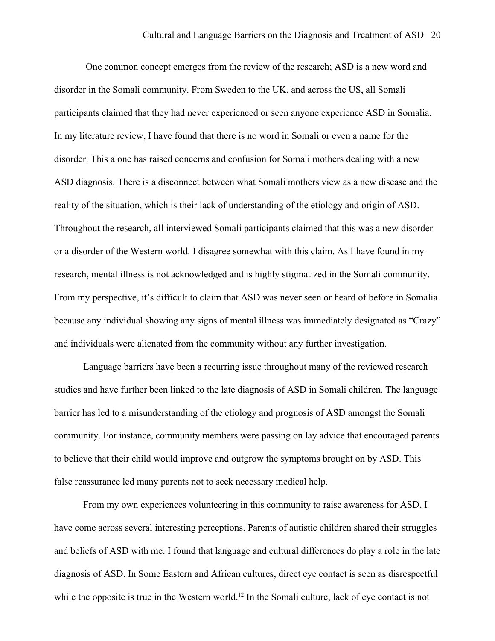One common concept emerges from the review of the research; ASD is a new word and disorder in the Somali community. From Sweden to the UK, and across the US, all Somali participants claimed that they had never experienced or seen anyone experience ASD in Somalia. In my literature review, I have found that there is no word in Somali or even a name for the disorder. This alone has raised concerns and confusion for Somali mothers dealing with a new ASD diagnosis. There is a disconnect between what Somali mothers view as a new disease and the reality of the situation, which is their lack of understanding of the etiology and origin of ASD. Throughout the research, all interviewed Somali participants claimed that this was a new disorder or a disorder of the Western world. I disagree somewhat with this claim. As I have found in my research, mental illness is not acknowledged and is highly stigmatized in the Somali community. From my perspective, it's difficult to claim that ASD was never seen or heard of before in Somalia because any individual showing any signs of mental illness was immediately designated as "Crazy" and individuals were alienated from the community without any further investigation.

Language barriers have been a recurring issue throughout many of the reviewed research studies and have further been linked to the late diagnosis of ASD in Somali children. The language barrier has led to a misunderstanding of the etiology and prognosis of ASD amongst the Somali community. For instance, community members were passing on lay advice that encouraged parents to believe that their child would improve and outgrow the symptoms brought on by ASD. This false reassurance led many parents not to seek necessary medical help.

From my own experiences volunteering in this community to raise awareness for ASD, I have come across several interesting perceptions. Parents of autistic children shared their struggles and beliefs of ASD with me. I found that language and cultural differences do play a role in the late diagnosis of ASD. In Some Eastern and African cultures, direct eye contact is seen as disrespectful while the opposite is true in the Western world.<sup>12</sup> In the Somali culture, lack of eye contact is not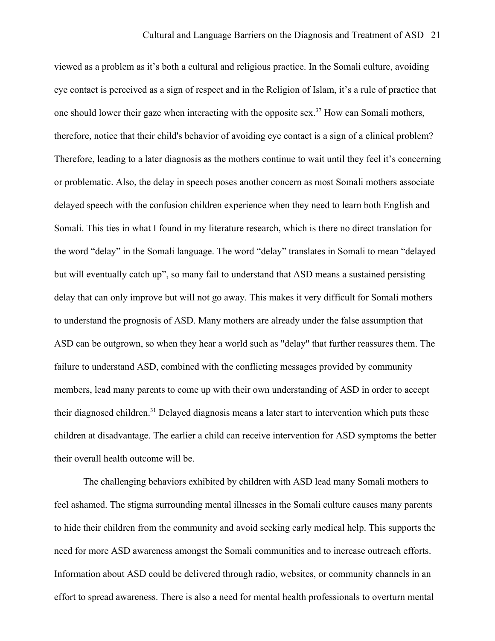viewed as a problem as it's both a cultural and religious practice. In the Somali culture, avoiding eye contact is perceived as a sign of respect and in the Religion of Islam, it's a rule of practice that one should lower their gaze when interacting with the opposite sex.<sup>37</sup> How can Somali mothers, therefore, notice that their child's behavior of avoiding eye contact is a sign of a clinical problem? Therefore, leading to a later diagnosis as the mothers continue to wait until they feel it's concerning or problematic. Also, the delay in speech poses another concern as most Somali mothers associate delayed speech with the confusion children experience when they need to learn both English and Somali. This ties in what I found in my literature research, which is there no direct translation for the word "delay" in the Somali language. The word "delay" translates in Somali to mean "delayed but will eventually catch up", so many fail to understand that ASD means a sustained persisting delay that can only improve but will not go away. This makes it very difficult for Somali mothers to understand the prognosis of ASD. Many mothers are already under the false assumption that ASD can be outgrown, so when they hear a world such as "delay" that further reassures them. The failure to understand ASD, combined with the conflicting messages provided by community members, lead many parents to come up with their own understanding of ASD in order to accept their diagnosed children.<sup>31</sup> Delayed diagnosis means a later start to intervention which puts these children at disadvantage. The earlier a child can receive intervention for ASD symptoms the better their overall health outcome will be.

The challenging behaviors exhibited by children with ASD lead many Somali mothers to feel ashamed. The stigma surrounding mental illnesses in the Somali culture causes many parents to hide their children from the community and avoid seeking early medical help. This supports the need for more ASD awareness amongst the Somali communities and to increase outreach efforts. Information about ASD could be delivered through radio, websites, or community channels in an effort to spread awareness. There is also a need for mental health professionals to overturn mental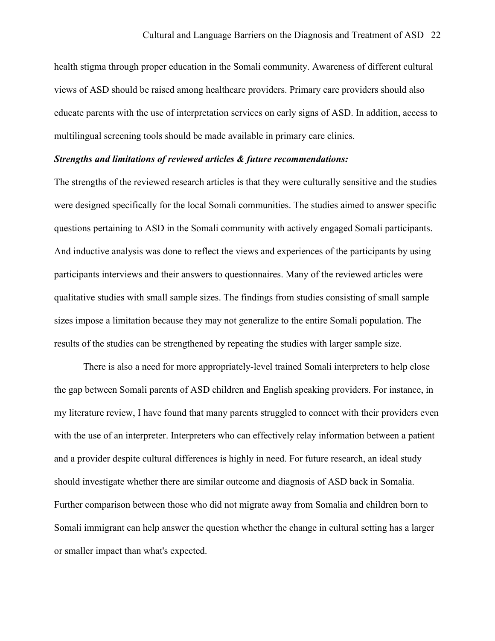health stigma through proper education in the Somali community. Awareness of different cultural views of ASD should be raised among healthcare providers. Primary care providers should also educate parents with the use of interpretation services on early signs of ASD. In addition, access to multilingual screening tools should be made available in primary care clinics.

#### *Strengths and limitations of reviewed articles & future recommendations:*

The strengths of the reviewed research articles is that they were culturally sensitive and the studies were designed specifically for the local Somali communities. The studies aimed to answer specific questions pertaining to ASD in the Somali community with actively engaged Somali participants. And inductive analysis was done to reflect the views and experiences of the participants by using participants interviews and their answers to questionnaires. Many of the reviewed articles were qualitative studies with small sample sizes. The findings from studies consisting of small sample sizes impose a limitation because they may not generalize to the entire Somali population. The results of the studies can be strengthened by repeating the studies with larger sample size.

There is also a need for more appropriately-level trained Somali interpreters to help close the gap between Somali parents of ASD children and English speaking providers. For instance, in my literature review, I have found that many parents struggled to connect with their providers even with the use of an interpreter. Interpreters who can effectively relay information between a patient and a provider despite cultural differences is highly in need. For future research, an ideal study should investigate whether there are similar outcome and diagnosis of ASD back in Somalia. Further comparison between those who did not migrate away from Somalia and children born to Somali immigrant can help answer the question whether the change in cultural setting has a larger or smaller impact than what's expected.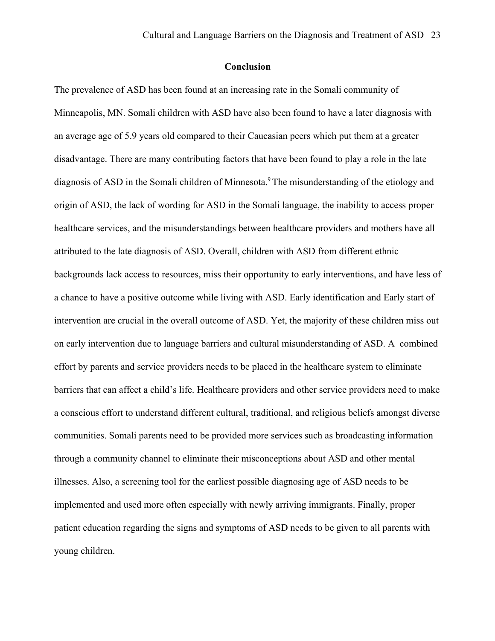#### **Conclusion**

The prevalence of ASD has been found at an increasing rate in the Somali community of Minneapolis, MN. Somali children with ASD have also been found to have a later diagnosis with an average age of 5.9 years old compared to their Caucasian peers which put them at a greater disadvantage. There are many contributing factors that have been found to play a role in the late diagnosis of ASD in the Somali children of Minnesota.<sup>9</sup> The misunderstanding of the etiology and origin of ASD, the lack of wording for ASD in the Somali language, the inability to access proper healthcare services, and the misunderstandings between healthcare providers and mothers have all attributed to the late diagnosis of ASD. Overall, children with ASD from different ethnic backgrounds lack access to resources, miss their opportunity to early interventions, and have less of a chance to have a positive outcome while living with ASD. Early identification and Early start of intervention are crucial in the overall outcome of ASD. Yet, the majority of these children miss out on early intervention due to language barriers and cultural misunderstanding of ASD. A combined effort by parents and service providers needs to be placed in the healthcare system to eliminate barriers that can affect a child's life. Healthcare providers and other service providers need to make a conscious effort to understand different cultural, traditional, and religious beliefs amongst diverse communities. Somali parents need to be provided more services such as broadcasting information through a community channel to eliminate their misconceptions about ASD and other mental illnesses. Also, a screening tool for the earliest possible diagnosing age of ASD needs to be implemented and used more often especially with newly arriving immigrants. Finally, proper patient education regarding the signs and symptoms of ASD needs to be given to all parents with young children.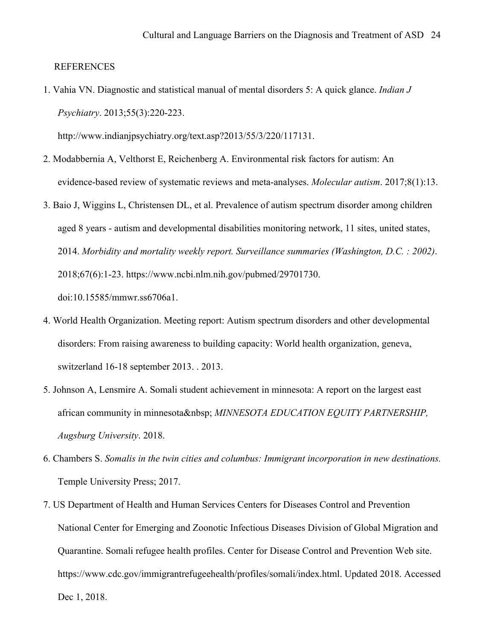**REFERENCES** 

1. Vahia VN. Diagnostic and statistical manual of mental disorders 5: A quick glance. *Indian J Psychiatry*. 2013;55(3):220-223.

http://www.indianjpsychiatry.org/text.asp?2013/55/3/220/117131.

- 2. Modabbernia A, Velthorst E, Reichenberg A. Environmental risk factors for autism: An evidence-based review of systematic reviews and meta-analyses. *Molecular autism*. 2017;8(1):13.
- 3. Baio J, Wiggins L, Christensen DL, et al. Prevalence of autism spectrum disorder among children aged 8 years - autism and developmental disabilities monitoring network, 11 sites, united states, 2014. *Morbidity and mortality weekly report. Surveillance summaries (Washington, D.C. : 2002)*. 2018;67(6):1-23. https://www.ncbi.nlm.nih.gov/pubmed/29701730. doi:10.15585/mmwr.ss6706a1.
- 4. World Health Organization. Meeting report: Autism spectrum disorders and other developmental disorders: From raising awareness to building capacity: World health organization, geneva, switzerland 16-18 september 2013. . 2013.
- 5. Johnson A, Lensmire A. Somali student achievement in minnesota: A report on the largest east african community in minnesota *MINNESOTA EDUCATION EQUITY PARTNERSHIP*, *Augsburg University*. 2018.
- 6. Chambers S. *Somalis in the twin cities and columbus: Immigrant incorporation in new destinations.* Temple University Press; 2017.
- 7. US Department of Health and Human Services Centers for Diseases Control and Prevention National Center for Emerging and Zoonotic Infectious Diseases Division of Global Migration and Quarantine. Somali refugee health profiles. Center for Disease Control and Prevention Web site. https://www.cdc.gov/immigrantrefugeehealth/profiles/somali/index.html. Updated 2018. Accessed Dec 1, 2018.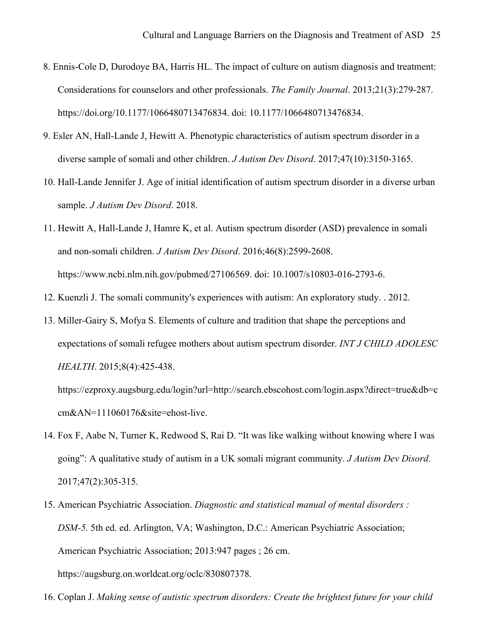- 8. Ennis-Cole D, Durodoye BA, Harris HL. The impact of culture on autism diagnosis and treatment: Considerations for counselors and other professionals. *The Family Journal*. 2013;21(3):279-287. https://doi.org/10.1177/1066480713476834. doi: 10.1177/1066480713476834.
- 9. Esler AN, Hall-Lande J, Hewitt A. Phenotypic characteristics of autism spectrum disorder in a diverse sample of somali and other children. *J Autism Dev Disord*. 2017;47(10):3150-3165.
- 10. Hall-Lande Jennifer J. Age of initial identification of autism spectrum disorder in a diverse urban sample. *J Autism Dev Disord*. 2018.
- 11. Hewitt A, Hall-Lande J, Hamre K, et al. Autism spectrum disorder (ASD) prevalence in somali and non-somali children. *J Autism Dev Disord*. 2016;46(8):2599-2608. https://www.ncbi.nlm.nih.gov/pubmed/27106569. doi: 10.1007/s10803-016-2793-6.
- 12. Kuenzli J. The somali community's experiences with autism: An exploratory study. . 2012.
- 13. Miller-Gairy S, Mofya S. Elements of culture and tradition that shape the perceptions and expectations of somali refugee mothers about autism spectrum disorder. *INT J CHILD ADOLESC HEALTH*. 2015;8(4):425-438.

https://ezproxy.augsburg.edu/login?url=http://search.ebscohost.com/login.aspx?direct=true&db=c cm&AN=111060176&site=ehost-live.

- 14. Fox F, Aabe N, Turner K, Redwood S, Rai D. "It was like walking without knowing where I was going": A qualitative study of autism in a UK somali migrant community. *J Autism Dev Disord*. 2017;47(2):305-315.
- 15. American Psychiatric Association. *Diagnostic and statistical manual of mental disorders : DSM-5.* 5th ed. ed. Arlington, VA; Washington, D.C.: American Psychiatric Association; American Psychiatric Association; 2013:947 pages ; 26 cm. https://augsburg.on.worldcat.org/oclc/830807378.
- 16. Coplan J. *Making sense of autistic spectrum disorders: Create the brightest future for your child*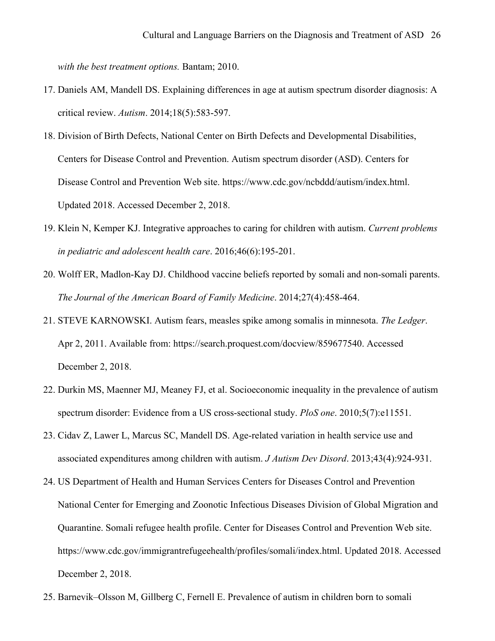*with the best treatment options.* Bantam; 2010.

- 17. Daniels AM, Mandell DS. Explaining differences in age at autism spectrum disorder diagnosis: A critical review. *Autism*. 2014;18(5):583-597.
- 18. Division of Birth Defects, National Center on Birth Defects and Developmental Disabilities, Centers for Disease Control and Prevention. Autism spectrum disorder (ASD). Centers for Disease Control and Prevention Web site. https://www.cdc.gov/ncbddd/autism/index.html. Updated 2018. Accessed December 2, 2018.
- 19. Klein N, Kemper KJ. Integrative approaches to caring for children with autism. *Current problems in pediatric and adolescent health care*. 2016;46(6):195-201.
- 20. Wolff ER, Madlon-Kay DJ. Childhood vaccine beliefs reported by somali and non-somali parents. *The Journal of the American Board of Family Medicine*. 2014;27(4):458-464.
- 21. STEVE KARNOWSKI. Autism fears, measles spike among somalis in minnesota. *The Ledger*. Apr 2, 2011. Available from: https://search.proquest.com/docview/859677540. Accessed December 2, 2018.
- 22. Durkin MS, Maenner MJ, Meaney FJ, et al. Socioeconomic inequality in the prevalence of autism spectrum disorder: Evidence from a US cross-sectional study. *PloS one*. 2010;5(7):e11551.
- 23. Cidav Z, Lawer L, Marcus SC, Mandell DS. Age-related variation in health service use and associated expenditures among children with autism. *J Autism Dev Disord*. 2013;43(4):924-931.
- 24. US Department of Health and Human Services Centers for Diseases Control and Prevention National Center for Emerging and Zoonotic Infectious Diseases Division of Global Migration and Quarantine. Somali refugee health profile. Center for Diseases Control and Prevention Web site. https://www.cdc.gov/immigrantrefugeehealth/profiles/somali/index.html. Updated 2018. Accessed December 2, 2018.
- 25. Barnevik–Olsson M, Gillberg C, Fernell E. Prevalence of autism in children born to somali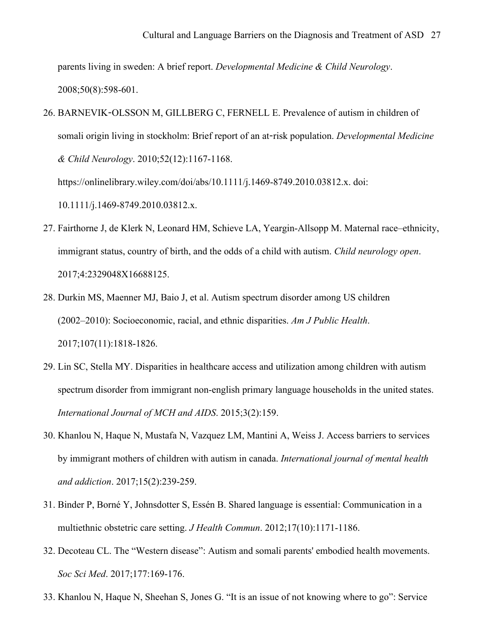parents living in sweden: A brief report. *Developmental Medicine & Child Neurology*. 2008;50(8):598-601.

26. BARNEVIK-OLSSON M, GILLBERG C, FERNELL E. Prevalence of autism in children of somali origin living in stockholm: Brief report of an at-risk population. *Developmental Medicine & Child Neurology*. 2010;52(12):1167-1168.

https://onlinelibrary.wiley.com/doi/abs/10.1111/j.1469-8749.2010.03812.x. doi:

10.1111/j.1469-8749.2010.03812.x.

- 27. Fairthorne J, de Klerk N, Leonard HM, Schieve LA, Yeargin-Allsopp M. Maternal race–ethnicity, immigrant status, country of birth, and the odds of a child with autism. *Child neurology open*. 2017;4:2329048X16688125.
- 28. Durkin MS, Maenner MJ, Baio J, et al. Autism spectrum disorder among US children (2002–2010): Socioeconomic, racial, and ethnic disparities. *Am J Public Health*. 2017;107(11):1818-1826.
- 29. Lin SC, Stella MY. Disparities in healthcare access and utilization among children with autism spectrum disorder from immigrant non-english primary language households in the united states. *International Journal of MCH and AIDS*. 2015;3(2):159.
- 30. Khanlou N, Haque N, Mustafa N, Vazquez LM, Mantini A, Weiss J. Access barriers to services by immigrant mothers of children with autism in canada. *International journal of mental health and addiction*. 2017;15(2):239-259.
- 31. Binder P, Borné Y, Johnsdotter S, Essén B. Shared language is essential: Communication in a multiethnic obstetric care setting. *J Health Commun*. 2012;17(10):1171-1186.
- 32. Decoteau CL. The "Western disease": Autism and somali parents' embodied health movements. *Soc Sci Med*. 2017;177:169-176.
- 33. Khanlou N, Haque N, Sheehan S, Jones G. "It is an issue of not knowing where to go": Service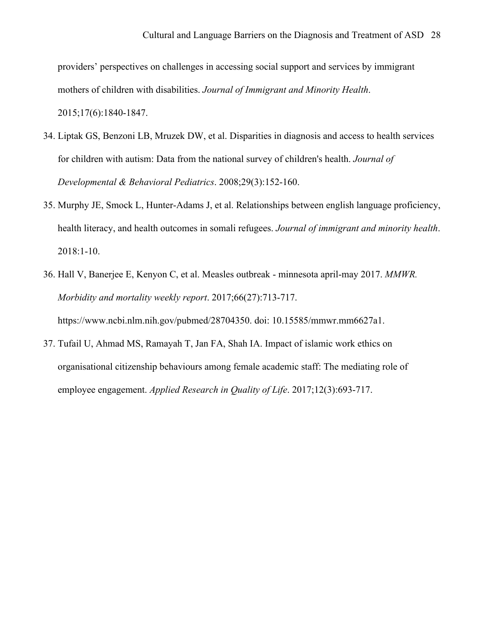providers' perspectives on challenges in accessing social support and services by immigrant mothers of children with disabilities. *Journal of Immigrant and Minority Health*. 2015;17(6):1840-1847.

- 34. Liptak GS, Benzoni LB, Mruzek DW, et al. Disparities in diagnosis and access to health services for children with autism: Data from the national survey of children's health. *Journal of Developmental & Behavioral Pediatrics*. 2008;29(3):152-160.
- 35. Murphy JE, Smock L, Hunter-Adams J, et al. Relationships between english language proficiency, health literacy, and health outcomes in somali refugees. *Journal of immigrant and minority health*. 2018:1-10.
- 36. Hall V, Banerjee E, Kenyon C, et al. Measles outbreak minnesota april-may 2017. *MMWR. Morbidity and mortality weekly report*. 2017;66(27):713-717. https://www.ncbi.nlm.nih.gov/pubmed/28704350. doi: 10.15585/mmwr.mm6627a1.
- 37. Tufail U, Ahmad MS, Ramayah T, Jan FA, Shah IA. Impact of islamic work ethics on organisational citizenship behaviours among female academic staff: The mediating role of employee engagement. *Applied Research in Quality of Life*. 2017;12(3):693-717.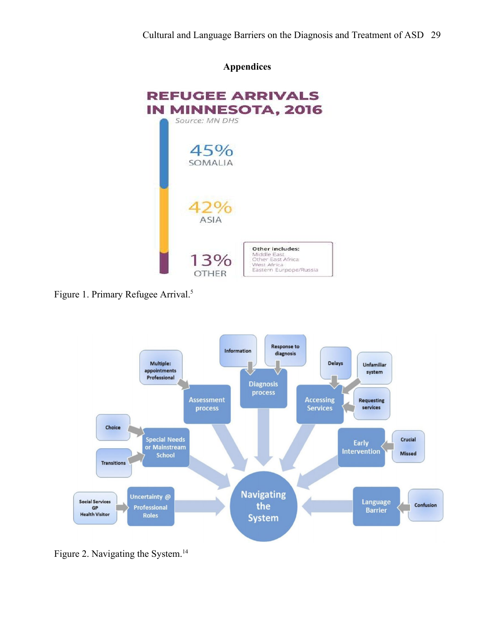# **Appendices**



Figure 1. Primary Refugee Arrival.<sup>5</sup>



Figure 2. Navigating the System.<sup>14</sup>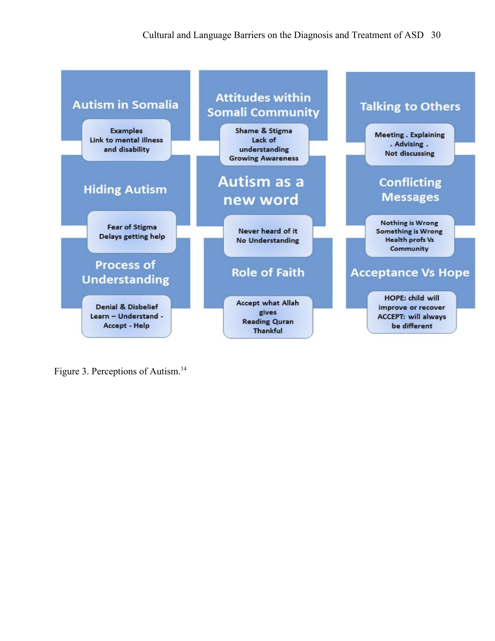

Figure 3. Perceptions of Autism.14